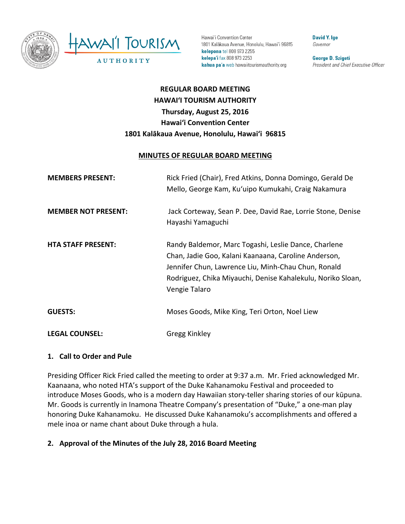

Hawai'i Convention Center 1801 Kalākaua Avenue, Honolulu, Hawai'i 96815 kelepona tel 808 973 2255 kelepa'i fax 808 973 2253 kahua pa'a web hawaiitourismauthority.org

**David Y. Ige** Governor

George D. Szigeti President and Chief Executive Officer

# **REGULAR BOARD MEETING HAWAI'I TOURISM AUTHORITY Thursday, August 25, 2016 Hawai'i Convention Center** 1801 Kalākaua Avenue, Honolulu, Hawai'i 96815

#### **MINUTES OF REGULAR BOARD MEETING**

| <b>MEMBERS PRESENT:</b>    | Rick Fried (Chair), Fred Atkins, Donna Domingo, Gerald De<br>Mello, George Kam, Ku'uipo Kumukahi, Craig Nakamura                                                                                                                                    |
|----------------------------|-----------------------------------------------------------------------------------------------------------------------------------------------------------------------------------------------------------------------------------------------------|
| <b>MEMBER NOT PRESENT:</b> | Jack Corteway, Sean P. Dee, David Rae, Lorrie Stone, Denise<br>Hayashi Yamaguchi                                                                                                                                                                    |
| <b>HTA STAFF PRESENT:</b>  | Randy Baldemor, Marc Togashi, Leslie Dance, Charlene<br>Chan, Jadie Goo, Kalani Kaanaana, Caroline Anderson,<br>Jennifer Chun, Lawrence Liu, Minh-Chau Chun, Ronald<br>Rodriguez, Chika Miyauchi, Denise Kahalekulu, Noriko Sloan,<br>Vengie Talaro |
| <b>GUESTS:</b>             | Moses Goods, Mike King, Teri Orton, Noel Liew                                                                                                                                                                                                       |
| <b>LEGAL COUNSEL:</b>      | Gregg Kinkley                                                                                                                                                                                                                                       |

#### **1. Call to Order and Pule**

Presiding Officer Rick Fried called the meeting to order at 9:37 a.m. Mr. Fried acknowledged Mr. Kaanaana, who noted HTA's support of the Duke Kahanamoku Festival and proceeded to introduce Moses Goods, who is a modern day Hawaiian story-teller sharing stories of our kūpuna. Mr. Goods is currently in Inamona Theatre Company's presentation of "Duke," a one-man play honoring Duke Kahanamoku. He discussed Duke Kahanamoku's accomplishments and offered a mele inoa or name chant about Duke through a hula.

#### 2. Approval of the Minutes of the July 28, 2016 Board Meeting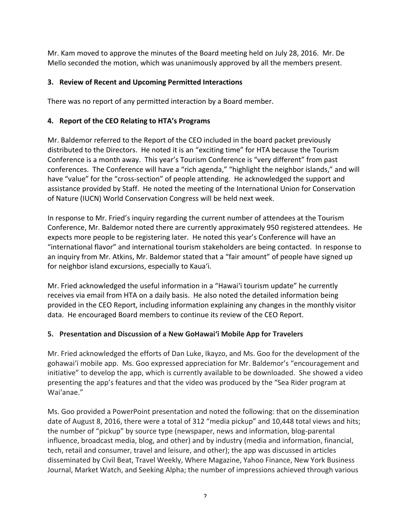Mr. Kam moved to approve the minutes of the Board meeting held on July 28, 2016. Mr. De Mello seconded the motion, which was unanimously approved by all the members present.

## **3. Review of Recent and Upcoming Permitted Interactions**

There was no report of any permitted interaction by a Board member.

#### 4. Report of the CEO Relating to HTA's Programs

Mr. Baldemor referred to the Report of the CEO included in the board packet previously distributed to the Directors. He noted it is an "exciting time" for HTA because the Tourism Conference is a month away. This year's Tourism Conference is "very different" from past conferences. The Conference will have a "rich agenda," "highlight the neighbor islands," and will have "value" for the "cross-section" of people attending. He acknowledged the support and assistance provided by Staff. He noted the meeting of the International Union for Conservation of Nature (IUCN) World Conservation Congress will be held next week.

In response to Mr. Fried's inquiry regarding the current number of attendees at the Tourism Conference, Mr. Baldemor noted there are currently approximately 950 registered attendees. He expects more people to be registering later. He noted this year's Conference will have an "international flavor" and international tourism stakeholders are being contacted. In response to an inquiry from Mr. Atkins, Mr. Baldemor stated that a "fair amount" of people have signed up for neighbor island excursions, especially to Kaua'i.

Mr. Fried acknowledged the useful information in a "Hawai'i tourism update" he currently receives via email from HTA on a daily basis. He also noted the detailed information being provided in the CEO Report, including information explaining any changes in the monthly visitor data. He encouraged Board members to continue its review of the CEO Report.

#### **5.** Presentation and Discussion of a New GoHawai'i Mobile App for Travelers

Mr. Fried acknowledged the efforts of Dan Luke, Ikayzo, and Ms. Goo for the development of the gohawai'i mobile app. Ms. Goo expressed appreciation for Mr. Baldemor's "encouragement and initiative" to develop the app, which is currently available to be downloaded. She showed a video presenting the app's features and that the video was produced by the "Sea Rider program at Wai'anae."

Ms. Goo provided a PowerPoint presentation and noted the following: that on the dissemination date of August 8, 2016, there were a total of 312 "media pickup" and 10,448 total views and hits; the number of "pickup" by source type (newspaper, news and information, blog-parental influence, broadcast media, blog, and other) and by industry (media and information, financial, tech, retail and consumer, travel and leisure, and other); the app was discussed in articles disseminated by Civil Beat, Travel Weekly, Where Magazine, Yahoo Finance, New York Business Journal, Market Watch, and Seeking Alpha; the number of impressions achieved through various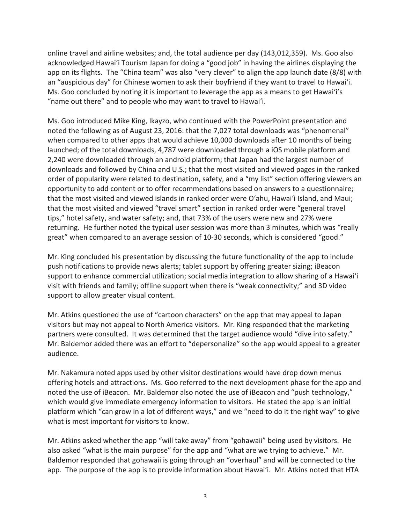online travel and airline websites; and, the total audience per day (143,012,359). Ms. Goo also acknowledged Hawai'i Tourism Japan for doing a "good job" in having the airlines displaying the app on its flights. The "China team" was also "very clever" to align the app launch date (8/8) with an "auspicious day" for Chinese women to ask their boyfriend if they want to travel to Hawai'i. Ms. Goo concluded by noting it is important to leverage the app as a means to get Hawai'i's "name out there" and to people who may want to travel to Hawai'i.

Ms. Goo introduced Mike King, Ikayzo, who continued with the PowerPoint presentation and noted the following as of August 23, 2016: that the 7,027 total downloads was "phenomenal" when compared to other apps that would achieve 10,000 downloads after 10 months of being launched; of the total downloads, 4,787 were downloaded through a iOS mobile platform and 2,240 were downloaded through an android platform; that Japan had the largest number of downloads and followed by China and U.S.; that the most visited and viewed pages in the ranked order of popularity were related to destination, safety, and a "my list" section offering viewers an opportunity to add content or to offer recommendations based on answers to a questionnaire; that the most visited and viewed islands in ranked order were O'ahu, Hawai'i Island, and Maui; that the most visited and viewed "travel smart" section in ranked order were "general travel tips," hotel safety, and water safety; and, that 73% of the users were new and 27% were returning. He further noted the typical user session was more than 3 minutes, which was "really great" when compared to an average session of 10-30 seconds, which is considered "good."

Mr. King concluded his presentation by discussing the future functionality of the app to include push notifications to provide news alerts; tablet support by offering greater sizing; iBeacon support to enhance commercial utilization; social media integration to allow sharing of a Hawai'i visit with friends and family; offline support when there is "weak connectivity;" and 3D video support to allow greater visual content.

Mr. Atkins questioned the use of "cartoon characters" on the app that may appeal to Japan visitors but may not appeal to North America visitors. Mr. King responded that the marketing partners were consulted. It was determined that the target audience would "dive into safety." Mr. Baldemor added there was an effort to "depersonalize" so the app would appeal to a greater audience.

Mr. Nakamura noted apps used by other visitor destinations would have drop down menus offering hotels and attractions. Ms. Goo referred to the next development phase for the app and noted the use of iBeacon. Mr. Baldemor also noted the use of iBeacon and "push technology," which would give immediate emergency information to visitors. He stated the app is an initial platform which "can grow in a lot of different ways," and we "need to do it the right way" to give what is most important for visitors to know.

Mr. Atkins asked whether the app "will take away" from "gohawaii" being used by visitors. He also asked "what is the main purpose" for the app and "what are we trying to achieve." Mr. Baldemor responded that gohawaii is going through an "overhaul" and will be connected to the app. The purpose of the app is to provide information about Hawai'i. Mr. Atkins noted that HTA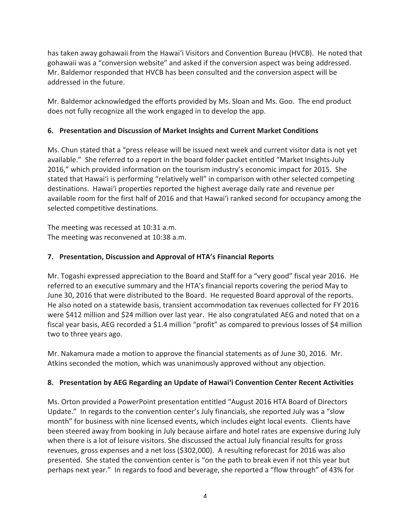has taken away gohawaii from the Hawai'i Visitors and Convention Bureau (HVCB). He noted that gohawaii was a "conversion website" and asked if the conversion aspect was being addressed. Mr. Baldemor responded that HVCB has been consulted and the conversion aspect will be addressed in the future.

Mr. Baldemor acknowledged the efforts provided by Ms. Sloan and Ms. Goo. The end product does not fully recognize all the work engaged in to develop the app.

## **6. Presentation and Discussion of Market Insights and Current Market Conditions**

Ms. Chun stated that a "press release will be issued next week and current visitor data is not yet available." She referred to a report in the board folder packet entitled "Market Insights-July 2016," which provided information on the tourism industry's economic impact for 2015. She stated that Hawai'i is performing "relatively well" in comparison with other selected competing destinations. Hawai'i properties reported the highest average daily rate and revenue per available room for the first half of 2016 and that Hawai'i ranked second for occupancy among the selected competitive destinations.

The meeting was recessed at 10:31 a.m. The meeting was reconvened at 10:38 a.m.

# **7. Presentation, Discussion and Approval of HTA's Financial Reports**

Mr. Togashi expressed appreciation to the Board and Staff for a "very good" fiscal year 2016. He referred to an executive summary and the HTA's financial reports covering the period May to June 30, 2016 that were distributed to the Board. He requested Board approval of the reports. He also noted on a statewide basis, transient accommodation tax revenues collected for FY 2016 were \$412 million and \$24 million over last year. He also congratulated AEG and noted that on a fiscal year basis, AEG recorded a \$1.4 million "profit" as compared to previous losses of \$4 million two to three years ago.

Mr. Nakamura made a motion to approve the financial statements as of June 30, 2016. Mr. Atkins seconded the motion, which was unanimously approved without any objection.

# **8. Presentation by AEG Regarding an Update of Hawai'i Convention Center Recent Activities**

Ms. Orton provided a PowerPoint presentation entitled "August 2016 HTA Board of Directors Update." In regards to the convention center's July financials, she reported July was a "slow month" for business with nine licensed events, which includes eight local events. Clients have been steered away from booking in July because airfare and hotel rates are expensive during July when there is a lot of leisure visitors. She discussed the actual July financial results for gross revenues, gross expenses and a net loss (\$302,000). A resulting reforecast for 2016 was also presented. She stated the convention center is "on the path to break even if not this year but perhaps next year." In regards to food and beverage, she reported a "flow through" of 43% for